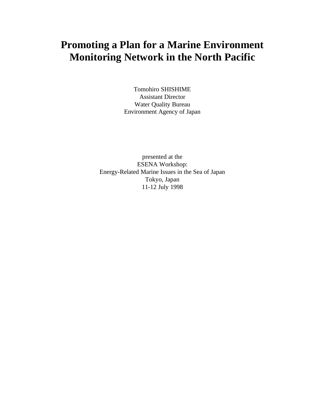# **Promoting a Plan for a Marine Environment Monitoring Network in the North Pacific**

Tomohiro SHISHIME Assistant Director Water Quality Bureau Environment Agency of Japan

presented at the ESENA Workshop: Energy-Related Marine Issues in the Sea of Japan Tokyo, Japan 11-12 July 1998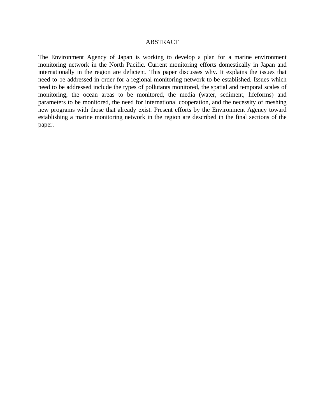#### ABSTRACT

The Environment Agency of Japan is working to develop a plan for a marine environment monitoring network in the North Pacific. Current monitoring efforts domestically in Japan and internationally in the region are deficient. This paper discusses why. It explains the issues that need to be addressed in order for a regional monitoring network to be established. Issues which need to be addressed include the types of pollutants monitored, the spatial and temporal scales of monitoring, the ocean areas to be monitored, the media (water, sediment, lifeforms) and parameters to be monitored, the need for international cooperation, and the necessity of meshing new programs with those that already exist. Present efforts by the Environment Agency toward establishing a marine monitoring network in the region are described in the final sections of the paper.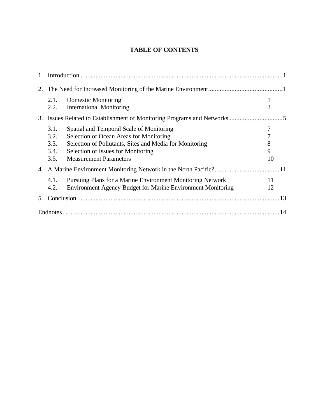# **TABLE OF CONTENTS**

|    | 2.1.<br>2.2.                         | Domestic Monitoring<br><b>International Monitoring</b>                                                                                                                                                                | 3                      |
|----|--------------------------------------|-----------------------------------------------------------------------------------------------------------------------------------------------------------------------------------------------------------------------|------------------------|
|    |                                      |                                                                                                                                                                                                                       |                        |
|    | 3.1.<br>3.2.<br>3.3.<br>3.4.<br>3.5. | Spatial and Temporal Scale of Monitoring<br>Selection of Ocean Areas for Monitoring<br>Selection of Pollutants, Sites and Media for Monitoring<br>Selection of Issues for Monitoring<br><b>Measurement Parameters</b> | 7<br>7<br>8<br>9<br>10 |
|    |                                      |                                                                                                                                                                                                                       |                        |
|    | 4.1.<br>4.2.                         | Pursuing Plans for a Marine Environment Monitoring Network<br><b>Environment Agency Budget for Marine Environment Monitoring</b>                                                                                      | 11<br>12               |
| 5. |                                      |                                                                                                                                                                                                                       |                        |
|    |                                      |                                                                                                                                                                                                                       |                        |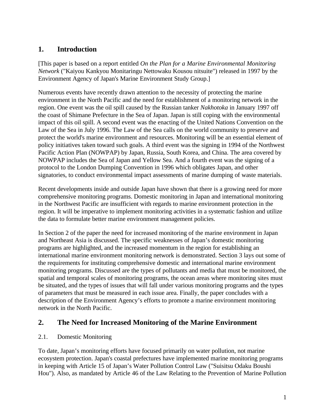# **1. Introduction**

[This paper is based on a report entitled *On the Plan for a Marine Environmental Monitoring Network* ("Kaiyou Kankyou Monitaringu Nettowaku Kousou nitsuite") released in 1997 by the Environment Agency of Japan's Marine Environment Study Group.]

Numerous events have recently drawn attention to the necessity of protecting the marine environment in the North Pacific and the need for establishment of a monitoring network in the region. One event was the oil spill caused by the Russian tanker *Nakhotoka* in January 1997 off the coast of Shimane Prefecture in the Sea of Japan. Japan is still coping with the environmental impact of this oil spill. A second event was the enacting of the United Nations Convention on the Law of the Sea in July 1996. The Law of the Sea calls on the world community to preserve and protect the world's marine environment and resources. Monitoring will be an essential element of policy initiatives taken toward such goals. A third event was the signing in 1994 of the Northwest Pacific Action Plan (NOWPAP) by Japan, Russia, South Korea, and China. The area covered by NOWPAP includes the Sea of Japan and Yellow Sea. And a fourth event was the signing of a protocol to the London Dumping Convention in 1996 which obligates Japan, and other signatories, to conduct environmental impact assessments of marine dumping of waste materials.

Recent developments inside and outside Japan have shown that there is a growing need for more comprehensive monitoring programs. Domestic monitoring in Japan and international monitoring in the Northwest Pacific are insufficient with regards to marine environment protection in the region. It will be imperative to implement monitoring activities in a systematic fashion and utilize the data to formulate better marine environment management policies.

In Section 2 of the paper the need for increased monitoring of the marine environment in Japan and Northeast Asia is discussed. The specific weaknesses of Japan's domestic monitoring programs are highlighted, and the increased momentum in the region for establishing an international marine environment monitoring network is demonstrated. Section 3 lays out some of the requirements for instituting comprehensive domestic and international marine environment monitoring programs. Discussed are the types of pollutants and media that must be monitored, the spatial and temporal scales of monitoring programs, the ocean areas where monitoring sites must be situated, and the types of issues that will fall under various monitoring programs and the types of parameters that must be measured in each issue area. Finally, the paper concludes with a description of the Environment Agency's efforts to promote a marine environment monitoring network in the North Pacific.

# **2. The Need for Increased Monitoring of the Marine Environment**

#### 2.1. Domestic Monitoring

To date, Japan's monitoring efforts have focused primarily on water pollution, not marine ecosystem protection. Japan's coastal prefectures have implemented marine monitoring programs in keeping with Article 15 of Japan's Water Pollution Control Law ("Suisitsu Odaku Boushi Hou"). Also, as mandated by Article 46 of the Law Relating to the Prevention of Marine Pollution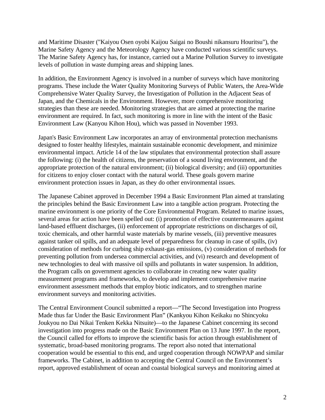and Maritime Disaster ("Kaiyou Osen oyobi Kaijou Saigai no Boushi nikansuru Houritsu"), the Marine Safety Agency and the Meteorology Agency have conducted various scientific surveys. The Marine Safety Agency has, for instance, carried out a Marine Pollution Survey to investigate levels of pollution in waste dumping areas and shipping lanes.

In addition, the Environment Agency is involved in a number of surveys which have monitoring programs. These include the Water Quality Monitoring Surveys of Public Waters, the Area-Wide Comprehensive Water Quality Survey, the Investigation of Pollution in the Adjacent Seas of Japan, and the Chemicals in the Environment. However, more comprehensive monitoring strategies than these are needed. Monitoring strategies that are aimed at protecting the marine environment are required. In fact, such monitoring is more in line with the intent of the Basic Environment Law (Kanyou Kihon Hou), which was passed in November 1993.

Japan's Basic Environment Law incorporates an array of environmental protection mechanisms designed to foster healthy lifestyles, maintain sustainable economic development, and minimize environmental impact. Article 14 of the law stipulates that environmental protection shall assure the following: (i) the health of citizens, the preservation of a sound living environment, and the appropriate protection of the natural environment; (ii) biological diversity; and (iii) opportunities for citizens to enjoy closer contact with the natural world. These goals govern marine environment protection issues in Japan, as they do other environmental issues.

The Japanese Cabinet approved in December 1994 a Basic Environment Plan aimed at translating the principles behind the Basic Environment Law into a tangible action program. Protecting the marine environment is one priority of the Core Environmental Program. Related to marine issues, several areas for action have been spelled out: (i) promotion of effective countermeasures against land-based effluent discharges, (ii) enforcement of appropriate restrictions on discharges of oil, toxic chemicals, and other harmful waste materials by marine vessels, (iii) preventive measures against tanker oil spills, and an adequate level of preparedness for cleanup in case of spills, (iv) consideration of methods for curbing ship exhaust-gas emissions, (v) consideration of methods for preventing pollution from undersea commercial activities, and (vi) research and development of new technologies to deal with massive oil spills and pollutants in water suspension. In addition, the Program calls on government agencies to collaborate in creating new water quality measurement programs and frameworks, to develop and implement comprehensive marine environment assessment methods that employ biotic indicators, and to strengthen marine environment surveys and monitoring activities.

The Central Environment Council submitted a report—"The Second Investigation into Progress Made thus far Under the Basic Environment Plan" (Kankyou Kihon Keikaku no Shincyoku Joukyou no Dai Nikai Tenken Kekka Nitsuite)—to the Japanese Cabinet concerning its second investigation into progress made on the Basic Environment Plan on 13 June 1997. In the report, the Council called for efforts to improve the scientific basis for action through establishment of systematic, broad-based monitoring programs. The report also noted that international cooperation would be essential to this end, and urged cooperation through NOWPAP and similar frameworks. The Cabinet, in addition to accepting the Central Council on the Environment's report, approved establishment of ocean and coastal biological surveys and monitoring aimed at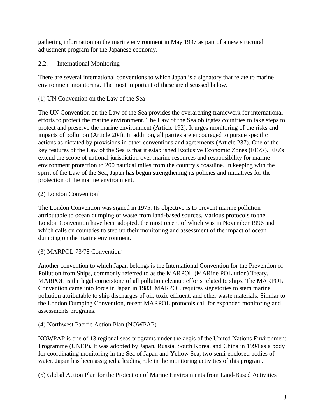gathering information on the marine environment in May 1997 as part of a new structural adjustment program for the Japanese economy.

2.2. International Monitoring

There are several international conventions to which Japan is a signatory that relate to marine environment monitoring. The most important of these are discussed below.

(1) UN Convention on the Law of the Sea

The UN Convention on the Law of the Sea provides the overarching framework for international efforts to protect the marine environment. The Law of the Sea obligates countries to take steps to protect and preserve the marine environment (Article 192). It urges monitoring of the risks and impacts of pollution (Article 204). In addition, all parties are encouraged to pursue specific actions as dictated by provisions in other conventions and agreements (Article 237). One of the key features of the Law of the Sea is that it established Exclusive Economic Zones (EEZs). EEZs extend the scope of national jurisdiction over marine resources and responsibility for marine environment protection to 200 nautical miles from the country's coastline. In keeping with the spirit of the Law of the Sea, Japan has begun strengthening its policies and initiatives for the protection of the marine environment.

# $(2)$  London Convention<sup>1</sup>

The London Convention was signed in 1975. Its objective is to prevent marine pollution attributable to ocean dumping of waste from land-based sources. Various protocols to the London Convention have been adopted, the most recent of which was in November 1996 and which calls on countries to step up their monitoring and assessment of the impact of ocean dumping on the marine environment.

# (3) MARPOL 73/78 Convention<sup>2</sup>

Another convention to which Japan belongs is the International Convention for the Prevention of Pollution from Ships, commonly referred to as the MARPOL (MARine POLlution) Treaty. MARPOL is the legal cornerstone of all pollution cleanup efforts related to ships. The MARPOL Convention came into force in Japan in 1983. MARPOL requires signatories to stem marine pollution attributable to ship discharges of oil, toxic effluent, and other waste materials. Similar to the London Dumping Convention, recent MARPOL protocols call for expanded monitoring and assessments programs.

# (4) Northwest Pacific Action Plan (NOWPAP)

NOWPAP is one of 13 regional seas programs under the aegis of the United Nations Environment Programme (UNEP). It was adopted by Japan, Russia, South Korea, and China in 1994 as a body for coordinating monitoring in the Sea of Japan and Yellow Sea, two semi-enclosed bodies of water. Japan has been assigned a leading role in the monitoring activities of this program.

(5) Global Action Plan for the Protection of Marine Environments from Land-Based Activities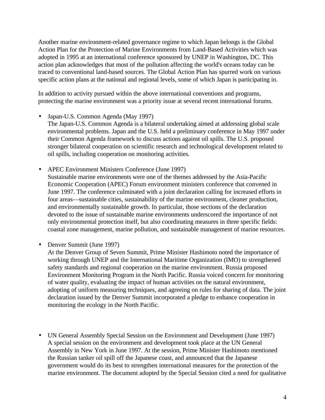Another marine environment-related governance regime to which Japan belongs is the Global Action Plan for the Protection of Marine Environments from Land-Based Activities which was adopted in 1995 at an international conference sponsored by UNEP in Washington, DC. This action plan acknowledges that most of the pollution affecting the world's oceans today can be traced to conventional land-based sources. The Global Action Plan has spurred work on various specific action plans at the national and regional levels, some of which Japan is participating in.

In addition to activity pursued within the above international conventions and programs, protecting the marine environment was a priority issue at several recent international forums.

- Japan-U.S. Common Agenda (May 1997)
	- The Japan-U.S. Common Agenda is a bilateral undertaking aimed at addressing global scale environmental problems. Japan and the U.S. held a preliminary conference in May 1997 under their Common Agenda framework to discuss actions against oil spills. The U.S. proposed stronger bilateral cooperation on scientific research and technological development related to oil spills, including cooperation on monitoring activities.
- APEC Environment Ministers Conference (June 1997) Sustainable marine environments were one of the themes addressed by the Asia-Pacific Economic Cooperation (APEC) Forum environment ministers conference that convened in June 1997. The conference culminated with a joint declaration calling for increased efforts in four areas—sustainable cities, sustainability of the marine environment, cleaner production, and environmentally sustainable growth. In particular, those sections of the declaration devoted to the issue of sustainable marine environments underscored the importance of not only environmental protection itself, but also coordinating measures in three specific fields: coastal zone management, marine pollution, and sustainable management of marine resources.
- Denver Summit (June 1997)

At the Denver Group of Seven Summit, Prime Minister Hashimoto noted the importance of working through UNEP and the International Maritime Organization (IMO) to strengthened safety standards and regional cooperation on the marine environment. Russia proposed Environment Monitoring Program in the North Pacific. Russia voiced concern for monitoring of water quality, evaluating the impact of human activities on the natural environment, adopting of uniform measuring techniques, and agreeing on rules for sharing of data. The joint declaration issued by the Denver Summit incorporated a pledge to enhance cooperation in monitoring the ecology in the North Pacific.

• UN General Assembly Special Session on the Environment and Development (June 1997) A special session on the environment and development took place at the UN General Assembly in New York in June 1997. At the session, Prime Minister Hashimoto mentioned the Russian tanker oil spill off the Japanese coast, and announced that the Japanese government would do its best to strengthen international measures for the protection of the marine environment. The document adopted by the Special Session cited a need for qualitative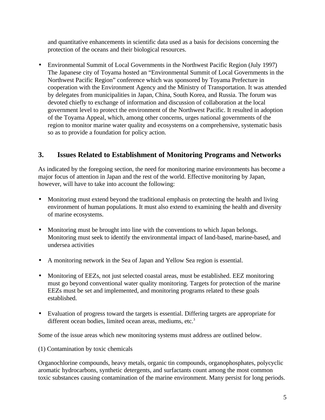and quantitative enhancements in scientific data used as a basis for decisions concerning the protection of the oceans and their biological resources.

• Environmental Summit of Local Governments in the Northwest Pacific Region (July 1997) The Japanese city of Toyama hosted an "Environmental Summit of Local Governments in the Northwest Pacific Region" conference which was sponsored by Toyama Prefecture in cooperation with the Environment Agency and the Ministry of Transportation. It was attended by delegates from municipalities in Japan, China, South Korea, and Russia. The forum was devoted chiefly to exchange of information and discussion of collaboration at the local government level to protect the environment of the Northwest Pacific. It resulted in adoption of the Toyama Appeal, which, among other concerns, urges national governments of the region to monitor marine water quality and ecosystems on a comprehensive, systematic basis so as to provide a foundation for policy action.

# **3. Issues Related to Establishment of Monitoring Programs and Networks**

As indicated by the foregoing section, the need for monitoring marine environments has become a major focus of attention in Japan and the rest of the world. Effective monitoring by Japan, however, will have to take into account the following:

- Monitoring must extend beyond the traditional emphasis on protecting the health and living environment of human populations. It must also extend to examining the health and diversity of marine ecosystems.
- Monitoring must be brought into line with the conventions to which Japan belongs. Monitoring must seek to identify the environmental impact of land-based, marine-based, and undersea activities
- A monitoring network in the Sea of Japan and Yellow Sea region is essential.
- Monitoring of EEZs, not just selected coastal areas, must be established. EEZ monitoring must go beyond conventional water quality monitoring. Targets for protection of the marine EEZs must be set and implemented, and monitoring programs related to these goals established.
- Evaluation of progress toward the targets is essential. Differing targets are appropriate for different ocean bodies, limited ocean areas, mediums, etc.<sup>3</sup>

Some of the issue areas which new monitoring systems must address are outlined below.

(1) Contamination by toxic chemicals

Organochlorine compounds, heavy metals, organic tin compounds, organophosphates, polycyclic aromatic hydrocarbons, synthetic detergents, and surfactants count among the most common toxic substances causing contamination of the marine environment. Many persist for long periods.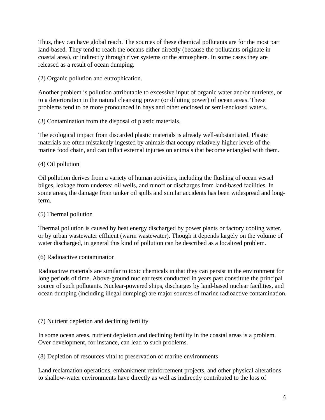Thus, they can have global reach. The sources of these chemical pollutants are for the most part land-based. They tend to reach the oceans either directly (because the pollutants originate in coastal area), or indirectly through river systems or the atmosphere. In some cases they are released as a result of ocean dumping.

(2) Organic pollution and eutrophication.

Another problem is pollution attributable to excessive input of organic water and/or nutrients, or to a deterioration in the natural cleansing power (or diluting power) of ocean areas. These problems tend to be more pronounced in bays and other enclosed or semi-enclosed waters.

(3) Contamination from the disposal of plastic materials.

The ecological impact from discarded plastic materials is already well-substantiated. Plastic materials are often mistakenly ingested by animals that occupy relatively higher levels of the marine food chain, and can inflict external injuries on animals that become entangled with them.

## (4) Oil pollution

Oil pollution derives from a variety of human activities, including the flushing of ocean vessel bilges, leakage from undersea oil wells, and runoff or discharges from land-based facilities. In some areas, the damage from tanker oil spills and similar accidents has been widespread and longterm.

# (5) Thermal pollution

Thermal pollution is caused by heat energy discharged by power plants or factory cooling water, or by urban wastewater effluent (warm wastewater). Though it depends largely on the volume of water discharged, in general this kind of pollution can be described as a localized problem.

#### (6) Radioactive contamination

Radioactive materials are similar to toxic chemicals in that they can persist in the environment for long periods of time. Above-ground nuclear tests conducted in years past constitute the principal source of such pollutants. Nuclear-powered ships, discharges by land-based nuclear facilities, and ocean dumping (including illegal dumping) are major sources of marine radioactive contamination.

#### (7) Nutrient depletion and declining fertility

In some ocean areas, nutrient depletion and declining fertility in the coastal areas is a problem. Over development, for instance, can lead to such problems.

(8) Depletion of resources vital to preservation of marine environments

Land reclamation operations, embankment reinforcement projects, and other physical alterations to shallow-water environments have directly as well as indirectly contributed to the loss of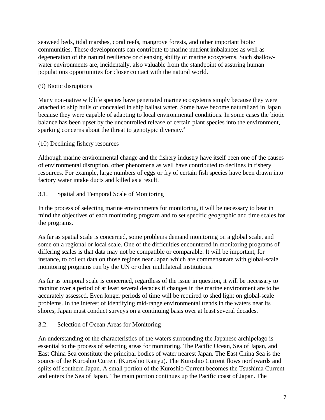seaweed beds, tidal marshes, coral reefs, mangrove forests, and other important biotic communities. These developments can contribute to marine nutrient imbalances as well as degeneration of the natural resilience or cleansing ability of marine ecosystems. Such shallowwater environments are, incidentally, also valuable from the standpoint of assuring human populations opportunities for closer contact with the natural world.

#### (9) Biotic disruptions

Many non-native wildlife species have penetrated marine ecosystems simply because they were attached to ship hulls or concealed in ship ballast water. Some have become naturalized in Japan because they were capable of adapting to local environmental conditions. In some cases the biotic balance has been upset by the uncontrolled release of certain plant species into the environment, sparking concerns about the threat to genotypic diversity.<sup>4</sup>

## (10) Declining fishery resources

Although marine environmental change and the fishery industry have itself been one of the causes of environmental disruption, other phenomena as well have contributed to declines in fishery resources. For example, large numbers of eggs or fry of certain fish species have been drawn into factory water intake ducts and killed as a result.

## 3.1. Spatial and Temporal Scale of Monitoring

In the process of selecting marine environments for monitoring, it will be necessary to bear in mind the objectives of each monitoring program and to set specific geographic and time scales for the programs.

As far as spatial scale is concerned, some problems demand monitoring on a global scale, and some on a regional or local scale. One of the difficulties encountered in monitoring programs of differing scales is that data may not be compatible or comparable. It will be important, for instance, to collect data on those regions near Japan which are commensurate with global-scale monitoring programs run by the UN or other multilateral institutions.

As far as temporal scale is concerned, regardless of the issue in question, it will be necessary to monitor over a period of at least several decades if changes in the marine environment are to be accurately assessed. Even longer periods of time will be required to shed light on global-scale problems. In the interest of identifying mid-range environmental trends in the waters near its shores, Japan must conduct surveys on a continuing basis over at least several decades.

#### 3.2. Selection of Ocean Areas for Monitoring

An understanding of the characteristics of the waters surrounding the Japanese archipelago is essential to the process of selecting areas for monitoring. The Pacific Ocean, Sea of Japan, and East China Sea constitute the principal bodies of water nearest Japan. The East China Sea is the source of the Kuroshio Current (Kuroshio Kairyu). The Kuroshio Current flows northwards and splits off southern Japan. A small portion of the Kuroshio Current becomes the Tsushima Current and enters the Sea of Japan. The main portion continues up the Pacific coast of Japan. The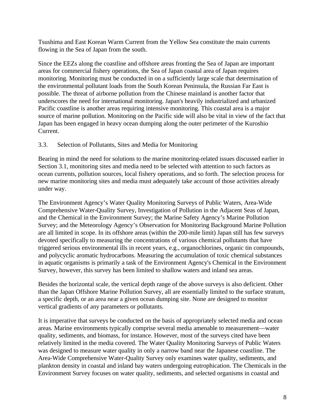Tsushima and East Korean Warm Current from the Yellow Sea constitute the main currents flowing in the Sea of Japan from the south.

Since the EEZs along the coastline and offshore areas fronting the Sea of Japan are important areas for commercial fishery operations, the Sea of Japan coastal area of Japan requires monitoring. Monitoring must be conducted in on a sufficiently large scale that determination of the environmental pollutant loads from the South Korean Peninsula, the Russian Far East is possible. The threat of airborne pollution from the Chinese mainland is another factor that underscores the need for international monitoring. Japan's heavily industrialized and urbanized Pacific coastline is another areas requiring intensive monitoring. This coastal area is a major source of marine pollution. Monitoring on the Pacific side will also be vital in view of the fact that Japan has been engaged in heavy ocean dumping along the outer perimeter of the Kuroshio Current.

#### 3.3. Selection of Pollutants, Sites and Media for Monitoring

Bearing in mind the need for solutions to the marine monitoring-related issues discussed earlier in Section 3.1, monitoring sites and media need to be selected with attention to such factors as ocean currents, pollution sources, local fishery operations, and so forth. The selection process for new marine monitoring sites and media must adequately take account of those activities already under way.

The Environment Agency's Water Quality Monitoring Surveys of Public Waters, Area-Wide Comprehensive Water-Quality Survey, Investigation of Pollution in the Adjacent Seas of Japan, and the Chemical in the Environment Survey; the Marine Safety Agency's Marine Pollution Survey; and the Meteorology Agency's Observation for Monitoring Background Marine Pollution are all limited in scope. In its offshore areas (within the 200-mile limit) Japan still has few surveys devoted specifically to measuring the concentrations of various chemical pollutants that have triggered serious environmental ills in recent years, e.g., organochlorines, organic tin compounds, and polycyclic aromatic hydrocarbons. Measuring the accumulation of toxic chemical substances in aquatic organisms is primarily a task of the Environment Agency's Chemical in the Environment Survey, however, this survey has been limited to shallow waters and inland sea areas.

Besides the horizontal scale, the vertical depth range of the above surveys is also deficient. Other than the Japan Offshore Marine Pollution Survey, all are essentially limited to the surface stratum, a specific depth, or an area near a given ocean dumping site. None are designed to monitor vertical gradients of any parameters or pollutants.

It is imperative that surveys be conducted on the basis of appropriately selected media and ocean areas. Marine environments typically comprise several media amenable to measurement—water quality, sediments, and biomass, for instance. However, most of the surveys cited have been relatively limited in the media covered. The Water Quality Monitoring Surveys of Public Waters was designed to measure water quality in only a narrow band near the Japanese coastline. The Area-Wide Comprehensive Water-Quality Survey only examines water quality, sediments, and plankton density in coastal and inland bay waters undergoing eutrophication. The Chemicals in the Environment Survey focuses on water quality, sediments, and selected organisms in coastal and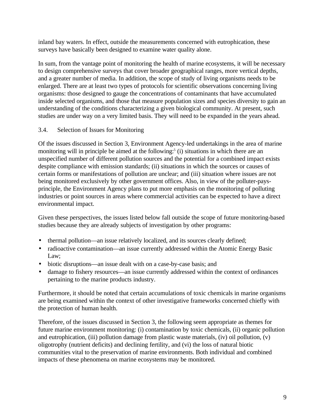inland bay waters. In effect, outside the measurements concerned with eutrophication, these surveys have basically been designed to examine water quality alone.

In sum, from the vantage point of monitoring the health of marine ecosystems, it will be necessary to design comprehensive surveys that cover broader geographical ranges, more vertical depths, and a greater number of media. In addition, the scope of study of living organisms needs to be enlarged. There are at least two types of protocols for scientific observations concerning living organisms: those designed to gauge the concentrations of contaminants that have accumulated inside selected organisms, and those that measure population sizes and species diversity to gain an understanding of the conditions characterizing a given biological community. At present, such studies are under way on a very limited basis. They will need to be expanded in the years ahead.

#### 3.4. Selection of Issues for Monitoring

Of the issues discussed in Section 3, Environment Agency-led undertakings in the area of marine monitoring will in principle be aimed at the following:<sup>5</sup> (i) situations in which there are an unspecified number of different pollution sources and the potential for a combined impact exists despite compliance with emission standards; (ii) situations in which the sources or causes of certain forms or manifestations of pollution are unclear; and (iii) situation where issues are not being monitored exclusively by other government offices. Also, in view of the polluter-paysprinciple, the Environment Agency plans to put more emphasis on the monitoring of polluting industries or point sources in areas where commercial activities can be expected to have a direct environmental impact.

Given these perspectives, the issues listed below fall outside the scope of future monitoring-based studies because they are already subjects of investigation by other programs:

- thermal pollution—an issue relatively localized, and its sources clearly defined;
- radioactive contamination—an issue currently addressed within the Atomic Energy Basic Law;
- biotic disruptions—an issue dealt with on a case-by-case basis; and
- damage to fishery resources—an issue currently addressed within the context of ordinances pertaining to the marine products industry.

Furthermore, it should be noted that certain accumulations of toxic chemicals in marine organisms are being examined within the context of other investigative frameworks concerned chiefly with the protection of human health.

Therefore, of the issues discussed in Section 3, the following seem appropriate as themes for future marine environment monitoring: (i) contamination by toxic chemicals, (ii) organic pollution and eutrophication, (iii) pollution damage from plastic waste materials, (iv) oil pollution, (v) oligotrophy (nutrient deficits) and declining fertility, and (vi) the loss of natural biotic communities vital to the preservation of marine environments. Both individual and combined impacts of these phenomena on marine ecosystems may be monitored.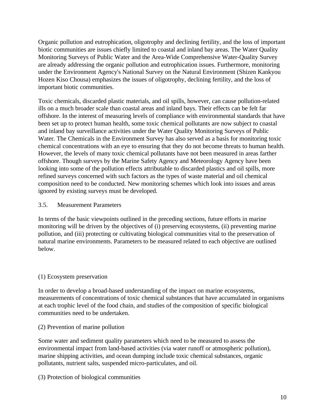Organic pollution and eutrophication, oligotrophy and declining fertility, and the loss of important biotic communities are issues chiefly limited to coastal and inland bay areas. The Water Quality Monitoring Surveys of Public Water and the Area-Wide Comprehensive Water-Quality Survey are already addressing the organic pollution and eutrophication issues. Furthermore, monitoring under the Environment Agency's National Survey on the Natural Environment (Shizen Kankyou Hozen Kiso Chousa) emphasizes the issues of oligotrophy, declining fertility, and the loss of important biotic communities.

Toxic chemicals, discarded plastic materials, and oil spills, however, can cause pollution-related ills on a much broader scale than coastal areas and inland bays. Their effects can be felt far offshore. In the interest of measuring levels of compliance with environmental standards that have been set up to protect human health, some toxic chemical pollutants are now subject to coastal and inland bay surveillance activities under the Water Quality Monitoring Surveys of Public Water. The Chemicals in the Environment Survey has also served as a basis for monitoring toxic chemical concentrations with an eye to ensuring that they do not become threats to human health. However, the levels of many toxic chemical pollutants have not been measured in areas farther offshore. Though surveys by the Marine Safety Agency and Meteorology Agency have been looking into some of the pollution effects attributable to discarded plastics and oil spills, more refined surveys concerned with such factors as the types of waste material and oil chemical composition need to be conducted. New monitoring schemes which look into issues and areas ignored by existing surveys must be developed.

#### 3.5. Measurement Parameters

In terms of the basic viewpoints outlined in the preceding sections, future efforts in marine monitoring will be driven by the objectives of (i) preserving ecosystems, (ii) preventing marine pollution, and (iii) protecting or cultivating biological communities vital to the preservation of natural marine environments. Parameters to be measured related to each objective are outlined below.

#### (1) Ecosystem preservation

In order to develop a broad-based understanding of the impact on marine ecosystems, measurements of concentrations of toxic chemical substances that have accumulated in organisms at each trophic level of the food chain, and studies of the composition of specific biological communities need to be undertaken.

#### (2) Prevention of marine pollution

Some water and sediment quality parameters which need to be measured to assess the environmental impact from land-based activities (via water runoff or atmospheric pollution), marine shipping activities, and ocean dumping include toxic chemical substances, organic pollutants, nutrient salts, suspended micro-particulates, and oil.

(3) Protection of biological communities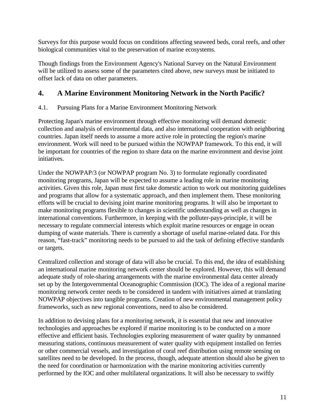Surveys for this purpose would focus on conditions affecting seaweed beds, coral reefs, and other biological communities vital to the preservation of marine ecosystems.

Though findings from the Environment Agency's National Survey on the Natural Environment will be utilized to assess some of the parameters cited above, new surveys must be initiated to offset lack of data on other parameters.

# **4. A Marine Environment Monitoring Network in the North Pacific?**

# 4.1. Pursuing Plans for a Marine Environment Monitoring Network

Protecting Japan's marine environment through effective monitoring will demand domestic collection and analysis of environmental data, and also international cooperation with neighboring countries. Japan itself needs to assume a more active role in protecting the region's marine environment. Work will need to be pursued within the NOWPAP framework. To this end, it will be important for countries of the region to share data on the marine environment and devise joint initiatives.

Under the NOWPAP/3 (or NOWPAP program No. 3) to formulate regionally coordinated monitoring programs, Japan will be expected to assume a leading role in marine monitoring activities. Given this role, Japan must first take domestic action to work out monitoring guidelines and programs that allow for a systematic approach, and then implement them. These monitoring efforts will be crucial to devising joint marine monitoring programs. It will also be important to make monitoring programs flexible to changes in scientific understanding as well as changes in international conventions. Furthermore, in keeping with the polluter-pays-principle, it will be necessary to regulate commercial interests which exploit marine resources or engage in ocean dumping of waste materials. There is currently a shortage of useful marine-related data. For this reason, "fast-track" monitoring needs to be pursued to aid the task of defining effective standards or targets.

Centralized collection and storage of data will also be crucial. To this end, the idea of establishing an international marine monitoring network center should be explored. However, this will demand adequate study of role-sharing arrangements with the marine environmental data center already set up by the Intergovernmental Oceanographic Commission (IOC). The idea of a regional marine monitoring network center needs to be considered in tandem with initiatives aimed at translating NOWPAP objectives into tangible programs. Creation of new environmental management policy frameworks, such as new regional conventions, need to also be considered.

In addition to devising plans for a monitoring network, it is essential that new and innovative technologies and approaches be explored if marine monitoring is to be conducted on a more effective and efficient basis. Technologies exploring measurement of water quality by unmanned measuring stations, continuous measurement of water quality with equipment installed on ferries or other commercial vessels, and investigation of coral reef distribution using remote sensing on satellites need to be developed. In the process, though, adequate attention should also be given to the need for coordination or harmonization with the marine monitoring activities currently performed by the IOC and other multilateral organizations. It will also be necessary to swiftly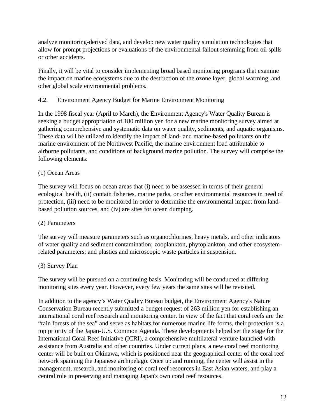analyze monitoring-derived data, and develop new water quality simulation technologies that allow for prompt projections or evaluations of the environmental fallout stemming from oil spills or other accidents.

Finally, it will be vital to consider implementing broad based monitoring programs that examine the impact on marine ecosystems due to the destruction of the ozone layer, global warming, and other global scale environmental problems.

## 4.2. Environment Agency Budget for Marine Environment Monitoring

In the 1998 fiscal year (April to March), the Environment Agency's Water Quality Bureau is seeking a budget appropriation of 180 million yen for a new marine monitoring survey aimed at gathering comprehensive and systematic data on water quality, sediments, and aquatic organisms. These data will be utilized to identify the impact of land- and marine-based pollutants on the marine environment of the Northwest Pacific, the marine environment load attributable to airborne pollutants, and conditions of background marine pollution. The survey will comprise the following elements:

## (1) Ocean Areas

The survey will focus on ocean areas that (i) need to be assessed in terms of their general ecological health, (ii) contain fisheries, marine parks, or other environmental resources in need of protection, (iii) need to be monitored in order to determine the environmental impact from landbased pollution sources, and (iv) are sites for ocean dumping.

#### (2) Parameters

The survey will measure parameters such as organochlorines, heavy metals, and other indicators of water quality and sediment contamination; zooplankton, phytoplankton, and other ecosystemrelated parameters; and plastics and microscopic waste particles in suspension.

#### (3) Survey Plan

The survey will be pursued on a continuing basis. Monitoring will be conducted at differing monitoring sites every year. However, every few years the same sites will be revisited.

In addition to the agency's Water Quality Bureau budget, the Environment Agency's Nature Conservation Bureau recently submitted a budget request of 263 million yen for establishing an international coral reef research and monitoring center. In view of the fact that coral reefs are the "rain forests of the sea" and serve as habitats for numerous marine life forms, their protection is a top priority of the Japan-U.S. Common Agenda. These developments helped set the stage for the International Coral Reef Initiative (ICRI), a comprehensive multilateral venture launched with assistance from Australia and other countries. Under current plans, a new coral reef monitoring center will be built on Okinawa, which is positioned near the geographical center of the coral reef network spanning the Japanese archipelago. Once up and running, the center will assist in the management, research, and monitoring of coral reef resources in East Asian waters, and play a central role in preserving and managing Japan's own coral reef resources.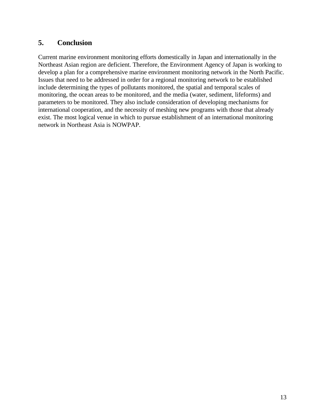# **5. Conclusion**

Current marine environment monitoring efforts domestically in Japan and internationally in the Northeast Asian region are deficient. Therefore, the Environment Agency of Japan is working to develop a plan for a comprehensive marine environment monitoring network in the North Pacific. Issues that need to be addressed in order for a regional monitoring network to be established include determining the types of pollutants monitored, the spatial and temporal scales of monitoring, the ocean areas to be monitored, and the media (water, sediment, lifeforms) and parameters to be monitored. They also include consideration of developing mechanisms for international cooperation, and the necessity of meshing new programs with those that already exist. The most logical venue in which to pursue establishment of an international monitoring network in Northeast Asia is NOWPAP.